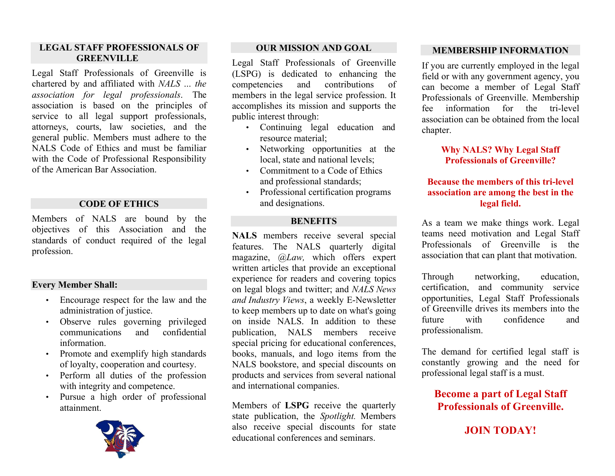### **LEGAL STAFF PROFESSIONALS OF GREENVILLE**

Legal Staff Professionals of Greenville is chartered by and affiliated with *NALS … the association for legal professionals*. The association is based on the principles of service to all legal support professionals, attorneys, courts, law societies, and the general public. Members must adhere to the NALS Code of Ethics and must be familiar with the Code of Professional Responsibility of the American Bar Association.

### **CODE OF ETHICS**

Members of NALS are bound by the objectives of this Association and the standards of conduct required of the legal profession.

### **Every Member Shall:**

- Encourage respect for the law and the administration of justice.
- Observe rules governing privileged<br>communications and confidential communications and information.
- Promote and exemplify high standards of loyalty, cooperation and courtesy.
- Perform all duties of the profession with integrity and competence.
- Pursue a high order of professional attainment.



#### **OUR MISSION AND GOAL**

Legal Staff Professionals of Greenville (LSPG) is dedicated to enhancing the competencies and contributions of members in the legal service profession. It accomplishes its mission and supports the public interest through:

- Continuing legal education and resource material;
- Networking opportunities at the local, state and national levels;
- Commitment to a Code of Ethics and professional standards;
- Professional certification programs and designations.

### **BENEFITS**

**NALS** members receive several special features. The NALS quarterly digital magazine, *@Law,* which offers expert written articles that provide an exceptional experience for readers and covering topics on legal blogs and twitter; and *NALS News and Industry Views*, a weekly E-Newsletter to keep members up to date on what's going on inside NALS. In addition to these publication, NALS members receive special pricing for educational conferences, books, manuals, and logo items from the NALS bookstore, and special discounts on products and services from several national and international companies.

Members of **LSPG** receive the quarterly state publication, the *Spotlight.* Members also receive special discounts for state educational conferences and seminars.

### **MEMBERSHIP INFORMATION**

If you are currently employed in the legal field or with any government agency, you can become a member of Legal Staff Professionals of Greenville. Membership fee information for the tri-level association can be obtained from the local chapter.

### **Why NALS? Why Legal Staff Professionals of Greenville?**

### **Because the members of this tri-level association are among the best in the legal field.**

As a team we make things work. Legal teams need motivation and Legal Staff Professionals of Greenville is the association that can plant that motivation.

Through networking, education, certification, and community service opportunities, Legal Staff Professionals of Greenville drives its members into the future with confidence and professionalism.

The demand for certified legal staff is constantly growing and the need for professional legal staff is a must.

**Become a part of Legal Staff Professionals of Greenville.**

### **JOIN TODAY!**